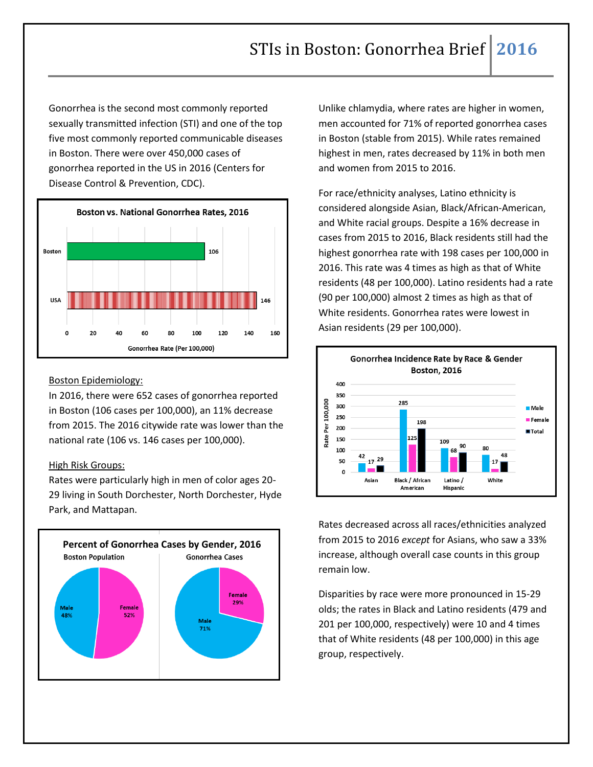Gonorrhea is the second most commonly reported sexually transmitted infection (STI) and one of the top five most commonly reported communicable diseases in Boston. There were over 450,000 cases of gonorrhea reported in the US in 2016 (Centers for Disease Control & Prevention, CDC).



## Boston Epidemiology:

In 2016, there were 652 cases of gonorrhea reported in Boston (106 cases per 100,000), an 11% decrease from 2015. The 2016 citywide rate was lower than the national rate (106 vs. 146 cases per 100,000).

## High Risk Groups:

Rates were particularly high in men of color ages 20- 29 living in South Dorchester, North Dorchester, Hyde Park, and Mattapan.



Unlike chlamydia, where rates are higher in women, men accounted for 71% of reported gonorrhea cases in Boston (stable from 2015). While rates remained highest in men, rates decreased by 11% in both men and women from 2015 to 2016.

For race/ethnicity analyses, Latino ethnicity is considered alongside Asian, Black/African-American, and White racial groups. Despite a 16% decrease in cases from 2015 to 2016, Black residents still had the highest gonorrhea rate with 198 cases per 100,000 in 2016. This rate was 4 times as high as that of White residents (48 per 100,000). Latino residents had a rate (90 per 100,000) almost 2 times as high as that of White residents. Gonorrhea rates were lowest in Asian residents (29 per 100,000).



Rates decreased across all races/ethnicities analyzed from 2015 to 2016 *except* for Asians, who saw a 33% increase, although overall case counts in this group remain low.

Disparities by race were more pronounced in 15-29 olds; the rates in Black and Latino residents (479 and 201 per 100,000, respectively) were 10 and 4 times that of White residents (48 per 100,000) in this age group, respectively.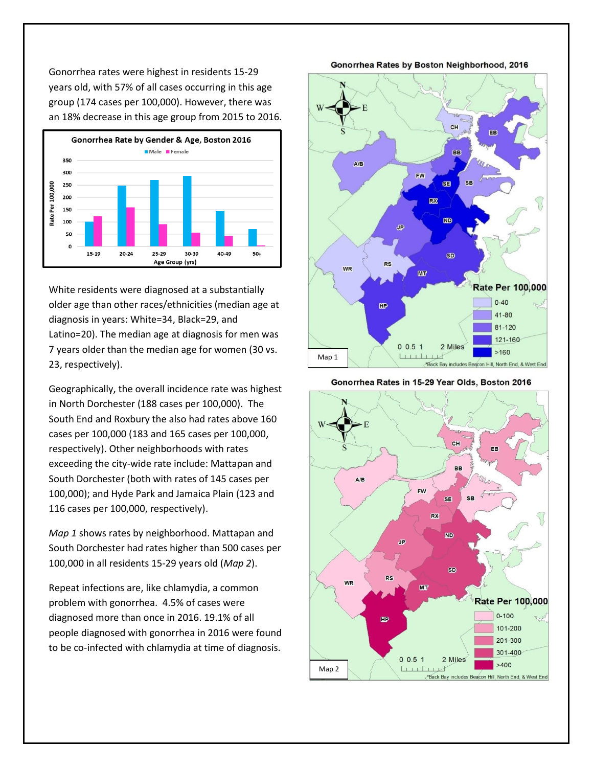Gonorrhea rates were highest in residents 15-29 years old, with 57% of all cases occurring in this age group (174 cases per 100,000). However, there was an 18% decrease in this age group from 2015 to 2016.



White residents were diagnosed at a substantially older age than other races/ethnicities (median age at diagnosis in years: White=34, Black=29, and Latino=20). The median age at diagnosis for men was 7 years older than the median age for women (30 vs. 23, respectively).

Geographically, the overall incidence rate was highest in North Dorchester (188 cases per 100,000). The South End and Roxbury the also had rates above 160 cases per 100,000 (183 and 165 cases per 100,000, respectively). Other neighborhoods with rates exceeding the city-wide rate include: Mattapan and South Dorchester (both with rates of 145 cases per 100,000); and Hyde Park and Jamaica Plain (123 and 116 cases per 100,000, respectively).

*Map 1* shows rates by neighborhood. Mattapan and South Dorchester had rates higher than 500 cases per 100,000 in all residents 15-29 years old (*Map 2*).

Repeat infections are, like chlamydia, a common problem with gonorrhea. 4.5% of cases were diagnosed more than once in 2016. 19.1% of all people diagnosed with gonorrhea in 2016 were found to be co-infected with chlamydia at time of diagnosis.

Gonorrhea Rates by Boston Neighborhood, 2016



Gonorrhea Rates in 15-29 Year Olds, Boston 2016